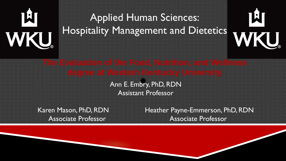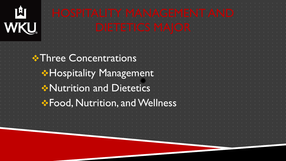| WKU | SPITALITY MANAGEMENT AN<br><b>IETETICS MAIOI</b> |  |  |  |  |  |  |  |
|-----|--------------------------------------------------|--|--|--|--|--|--|--|
|     | <b>* Three Concentrations</b>                    |  |  |  |  |  |  |  |
|     | <b>* Hospitality Management</b>                  |  |  |  |  |  |  |  |
|     | Mutrition and Dietetics                          |  |  |  |  |  |  |  |
|     | <b>*Food, Nutrition, and Wellness</b>            |  |  |  |  |  |  |  |
|     |                                                  |  |  |  |  |  |  |  |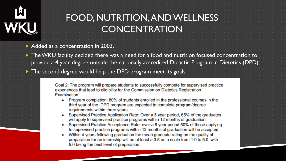

### FOOD, NUTRITION, AND WELLNESS **CONCENTRATION**

Added as a concentration in 2003.

 The WKU faculty decided there was a need for a food and nutrition focused concentration to provide a 4 year degree outside the nationally accredited Didactic Program in Dietetics (DPD).

The second degree would help the DPD program meet its goals.

Goal 2: The program will prepare students to successfully compete for supervised practice experiences that lead to eligibility for the Commission on Dietetics Registration Examination

- Program completion: 80% of students enrolled in the professional courses in the third year of the DPD program are expected to complete program/degree requirements within three years
- Supervised Practice Application Rate: Over a 5 year period, 65% of the graduates will apply to supervised practice programs within 12 months of graduation.
- Supervised Practice Acceptance Rate: over a 5 year period 50% of those applying to supervised practice programs within 12 months of graduation will be accepted.
- Within 4 years following graduation the mean graduate rating on the quality of preparation for an internship will be at least a 3.5 on a scale from 1.0 to 5.0, with 5.0 being the best level of preparation.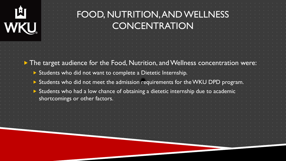| WKU | FOOD, NUTRITION, AND WELLNESS<br>CONCENTRATION                                                                                                |
|-----|-----------------------------------------------------------------------------------------------------------------------------------------------|
|     | The target audience for the Food, Nutrition, and Wellness concentration were:<br>Students who did not want to complete a Dietetic Internship. |
|     | Students who did not meet the admission requirements for the WKU DPD program.                                                                 |
|     | Students who had a low chance of obtaining a dietetic internship due to academic<br>shortcomings or other factors.                            |
|     |                                                                                                                                               |
|     |                                                                                                                                               |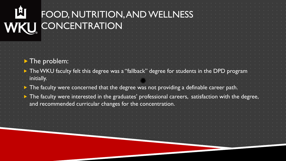| 凹<br>WKU   | FOOD, NUTRITION, AND WELLNESS<br>CONCENTRATION                                                                                                                                                                            |  |  |  |  |
|------------|---------------------------------------------------------------------------------------------------------------------------------------------------------------------------------------------------------------------------|--|--|--|--|
| initially. | $\blacktriangleright$ The problem:<br>> The WKU faculty felt this degree was a "fallback" degree for students in the DPD program<br>The faculty were concerned that the degree was not providing a definable career path. |  |  |  |  |
|            | The faculty were interested in the graduates' professional careers, satisfaction with the degree<br>and recommended curricular changes for the concentration.                                                             |  |  |  |  |
|            |                                                                                                                                                                                                                           |  |  |  |  |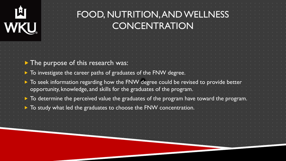| TW.<br>WKU | FOOD, NUTRITION, AND WELLNESS<br>CONCENTRATION                                                                                                              |  |
|------------|-------------------------------------------------------------------------------------------------------------------------------------------------------------|--|
|            | The purpose of this research was:                                                                                                                           |  |
|            | To investigate the career paths of graduates of the FNW degree.                                                                                             |  |
|            | To seek information regarding how the FNW degree could be revised to provide better<br>opportunity, knowledge, and skills for the graduates of the program. |  |
|            | To determine the perceived value the graduates of the program have toward the program.                                                                      |  |
|            | To study what led the graduates to choose the FNW concentration.                                                                                            |  |
|            |                                                                                                                                                             |  |
|            |                                                                                                                                                             |  |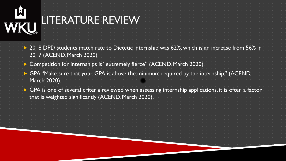| 메<br>WKL | LITERATURE REVIEW                                                                                                                                                                 |
|----------|-----------------------------------------------------------------------------------------------------------------------------------------------------------------------------------|
|          | 2018 DPD students match rate to Dietetic internship was 62%, which is an increase<br>2017 (ACEND, March 2020)                                                                     |
|          | Competition for internships is "extremely fierce" (ACEND, March 2020).                                                                                                            |
|          | GPA "Make sure that your GPA is above the minimum required by the internship." (ACEND,<br>March 2020).                                                                            |
|          | $\blacktriangleright$ GPA is one of several criteria reviewed when assessing internship applications, it is often a factor<br>that is weighted significantly (ACEND, March 2020). |
|          |                                                                                                                                                                                   |
|          |                                                                                                                                                                                   |
|          |                                                                                                                                                                                   |
|          |                                                                                                                                                                                   |
|          |                                                                                                                                                                                   |
|          |                                                                                                                                                                                   |
|          |                                                                                                                                                                                   |
|          |                                                                                                                                                                                   |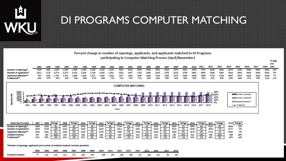|            | DI PROGRAMS COMPUTER MATCHING                                                                                             |  |  |  |  |  |  |  |  |  |  |  |  |  |  |  |  |  |  |  |  |  |  |  |  |  |
|------------|---------------------------------------------------------------------------------------------------------------------------|--|--|--|--|--|--|--|--|--|--|--|--|--|--|--|--|--|--|--|--|--|--|--|--|--|
| <b>WKI</b> | <u>. In the total theory and the second second and the second second second second second second second second second</u> |  |  |  |  |  |  |  |  |  |  |  |  |  |  |  |  |  |  |  |  |  |  |  |  |  |

Percent change in number of openings, applicants, and applicants matched to DI Programs participating in Computer Matching Process (April/November)

% chge one

|                             | 1993 1994 | 1995        | 1996                       | 1997 1998 1999 | 2000 |                                                                                                                      | 2001 2002 2003 | 2004 | 2005 | 2006 2007 | 2008 2009 |  |           | 2010 2011 2012 | 2013 2014 |                |      | 2015 2016 2017 2018 vear                                                                                         |             |  |
|-----------------------------|-----------|-------------|----------------------------|----------------|------|----------------------------------------------------------------------------------------------------------------------|----------------|------|------|-----------|-----------|--|-----------|----------------|-----------|----------------|------|------------------------------------------------------------------------------------------------------------------|-------------|--|
| Number of Openings*         | 1005      | 1681 1,824  | 1.900 1.995                |                |      |                                                                                                                      |                |      |      |           |           |  |           |                |           |                |      | 2,036 2,026 2,163 2,305 2351 2542 2509 2533 2522 2520 2476 2531 2483 2797 2926 2963 3078 3158 3389 3568 4043 13% |             |  |
| Number of Applicants*       |           |             |                            |                |      | 1811 2722 3,075 3,370 3,522 3,400 3,184 2,859 2,561 2622 2607 2782 2992 3263 3795 4252 4799 4864 4945 5386 5444 5804 |                |      |      |           |           |  |           |                |           |                |      | 5853 5944 5494 5292 4%                                                                                           |             |  |
| <b>Applicants Matched**</b> |           |             | 947 1561 1.702 1.761 1.884 |                |      | 1,838 1,817 1,882 1,832 1877 1916 1989 2062 2144 2235 2275 2385                                                      |                |      |      |           |           |  | 2436 2589 |                |           | 2732 2738 2854 | 2870 | 2823 3026 3248 7%                                                                                                |             |  |
| 6 Matched <sup>64</sup>     |           | 52% 57% 55% | 52%                        | 53% 54% 57%    |      | 66% 72% 72% 73% 71% 69% 66% 39% 34% 30% 30% 32% 31% 30% 49% 49% 47%                                                  |                |      |      |           |           |  |           |                |           |                |      |                                                                                                                  | 55% 61% 11% |  |



| <b>APRIL MATCH ONLY</b>         | 2007 |      |        | 200  | %Chgc  | 2010         | %Chge | 2011        | %Chge | 2012 | %Chge                     | 2013 | <b>School</b> | 2014 | %Chee  | 2015         | %Chee | 2016 | <b>Schoe</b> | 2017 | %Chge | 2018 | %Chge  |
|---------------------------------|------|------|--------|------|--------|--------------|-------|-------------|-------|------|---------------------------|------|---------------|------|--------|--------------|-------|------|--------------|------|-------|------|--------|
| Number of Openings <sup>®</sup> | 2289 | 2283 |        | 2323 | 2%     | 2426         |       | 2570        |       | 2719 | <b>CO</b>                 | 2745 | $\sim$        | 2836 | 3%     | 2864         |       | 2992 | 4%           | 3181 |       | 3609 |        |
| Number of Applicants*           | 3354 | 3765 |        | 4214 | 12%    | 4328         |       | <b>AA75</b> |       | 4811 | ۵ŝ                        | 4851 |               | 5140 |        | 5403<br>---- |       | 5200 |              | 4839 |       | 4727 | $-2\%$ |
| <b>Applicants Matched**</b>     | 2032 | 2004 |        | 2184 | 5%     | 2235         |       | 2379        |       | 2539 |                           | 2523 | $-1\%$        | 2618 | 4%     | 2608         |       | 2676 |              | 2713 |       | 2940 |        |
| <b>Unfilled Positions</b>       | 257  |      | $-267$ | 139  | $-27.$ | <b>STATE</b> | 487   | 208         | --    | 180  | $-130$                    | 222  | 23%           | 218  | $-256$ | 25.<br>--    | $-1$  | 316  | 405<br>--    | 468  | 32%   | 669  | 30%    |
| % Matched <sup>64</sup>         | 617. |      | $-1$   | 52%  | -67    | 52%          |       |             |       | 53   | <b>STATISTICS</b><br>-25. |      | -496          | 51%  | $-250$ | <b>STAR</b>  |       | 515  |              | 56%  |       | 625  |        |

\*Number of openings, applicants and number of matched students includes preselects

|                           |  |  |  | 2004 2005 2006 2007 2008 2009 2010 2011 2012 2013 2014 2015 2016 |  |  |                                                               | 2017 2018 |  |
|---------------------------|--|--|--|------------------------------------------------------------------|--|--|---------------------------------------------------------------|-----------|--|
| <b>Preselect students</b> |  |  |  |                                                                  |  |  | 77 101 124 114 147 133 140 159 187 226 196 127 129 181 93 232 |           |  |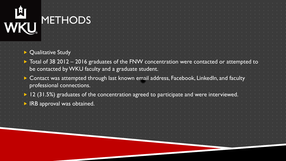# LA LA LA **METHODS**

|                                                                                                             |                                                                                                                                                                        | <b>Qualitative Study</b> |  |  |  |  |  |  |  |  |  |  |  |  |  |  |  |  |  |  |  |
|-------------------------------------------------------------------------------------------------------------|------------------------------------------------------------------------------------------------------------------------------------------------------------------------|--------------------------|--|--|--|--|--|--|--|--|--|--|--|--|--|--|--|--|--|--|--|
|                                                                                                             | $\blacktriangleright$ Total of 38 2012 – 2016 graduates of the FNW concentration were contacted or attempted to<br>be contacted by WKU faculty and a graduate student. |                          |  |  |  |  |  |  |  |  |  |  |  |  |  |  |  |  |  |  |  |
|                                                                                                             | Contact was attempted through last known email address, Facebook, LinkedIn, and faculty<br>professional connections.                                                   |                          |  |  |  |  |  |  |  |  |  |  |  |  |  |  |  |  |  |  |  |
| $\blacktriangleright$ 12 (31.5%) graduates of the concentration agreed to participate and were interviewed. |                                                                                                                                                                        |                          |  |  |  |  |  |  |  |  |  |  |  |  |  |  |  |  |  |  |  |
|                                                                                                             | IRB approval was obtained.                                                                                                                                             |                          |  |  |  |  |  |  |  |  |  |  |  |  |  |  |  |  |  |  |  |
|                                                                                                             |                                                                                                                                                                        |                          |  |  |  |  |  |  |  |  |  |  |  |  |  |  |  |  |  |  |  |
|                                                                                                             |                                                                                                                                                                        |                          |  |  |  |  |  |  |  |  |  |  |  |  |  |  |  |  |  |  |  |
|                                                                                                             |                                                                                                                                                                        |                          |  |  |  |  |  |  |  |  |  |  |  |  |  |  |  |  |  |  |  |
|                                                                                                             |                                                                                                                                                                        |                          |  |  |  |  |  |  |  |  |  |  |  |  |  |  |  |  |  |  |  |
|                                                                                                             |                                                                                                                                                                        |                          |  |  |  |  |  |  |  |  |  |  |  |  |  |  |  |  |  |  |  |
|                                                                                                             |                                                                                                                                                                        |                          |  |  |  |  |  |  |  |  |  |  |  |  |  |  |  |  |  |  |  |
|                                                                                                             |                                                                                                                                                                        |                          |  |  |  |  |  |  |  |  |  |  |  |  |  |  |  |  |  |  |  |
|                                                                                                             |                                                                                                                                                                        |                          |  |  |  |  |  |  |  |  |  |  |  |  |  |  |  |  |  |  |  |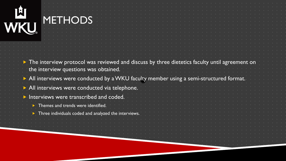| WKU | <b>METHODS</b>                                                                             |  |  |  |  |  |  |  |
|-----|--------------------------------------------------------------------------------------------|--|--|--|--|--|--|--|
|     | The interview protocol was reviewed and discuss by three dietetics faculty until agreement |  |  |  |  |  |  |  |
|     | the interview questions was obtained.                                                      |  |  |  |  |  |  |  |
|     | All interviews were conducted by a WKU faculty member using a semi-structured format       |  |  |  |  |  |  |  |
|     | All interviews were conducted via telephone.                                               |  |  |  |  |  |  |  |
|     | Interviews were transcribed and coded.                                                     |  |  |  |  |  |  |  |
|     |                                                                                            |  |  |  |  |  |  |  |
|     | $\triangleright$ Themes and trends were identified.                                        |  |  |  |  |  |  |  |
|     | Three individuals coded and analyzed the interviews                                        |  |  |  |  |  |  |  |
|     |                                                                                            |  |  |  |  |  |  |  |
|     |                                                                                            |  |  |  |  |  |  |  |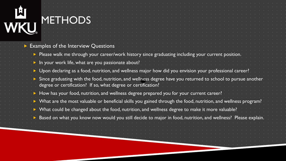# 山<br>WKL METHODS

#### Examples of the Interview Questions

- Please walk me through your career/work history since graduating including your current position.
- **In your work life, what are you passionate about?**
- Upon declaring as a food, nutrition, and wellness major how did you envision your professional career?
- Since graduating with the food, nutrition, and wellness degree have you returned to school to pursue another degree or certification? If so, what degree or certification?
- How has your food, nutrition, and wellness degree prepared you for your current career?
- What are the most valuable or beneficial skills you gained through the food, nutrition, and wellness program?
- What could be changed about the food, nutrition, and wellness degree to make it more valuable?
- Based on what you know now would you still decide to major in food, nutrition, and wellness? Please explair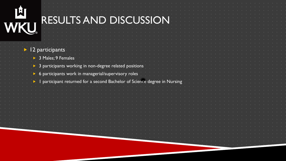| <b>ILI<br/>WKU</b>   | RESULTS AND DISCUSSION                                                  |  |
|----------------------|-------------------------------------------------------------------------|--|
|                      |                                                                         |  |
| 12 participants      |                                                                         |  |
| > 3 Males; 9 Females |                                                                         |  |
|                      | > 3 participants working in non-degree related positions                |  |
|                      |                                                                         |  |
|                      | 6 participants work in managerial/supervisory roles                     |  |
|                      | participant returned for a second Bachelor of Science degree in Nursing |  |
|                      |                                                                         |  |
|                      |                                                                         |  |
|                      |                                                                         |  |
|                      |                                                                         |  |
|                      |                                                                         |  |
|                      |                                                                         |  |
|                      |                                                                         |  |
|                      |                                                                         |  |
|                      |                                                                         |  |
|                      |                                                                         |  |
|                      |                                                                         |  |
|                      |                                                                         |  |
|                      |                                                                         |  |
|                      |                                                                         |  |
|                      |                                                                         |  |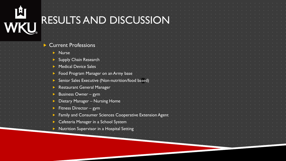| <b>IALLE</b> |                                                          |
|--------------|----------------------------------------------------------|
|              | RESULTS AND DISCUSSION                                   |
|              |                                                          |
|              |                                                          |
|              |                                                          |
|              |                                                          |
|              | <b>Current Professions</b>                               |
|              |                                                          |
|              | Nurse                                                    |
|              | <b>Supply Chain Research</b>                             |
|              | <b>Medical Device Sales</b>                              |
|              |                                                          |
|              | Food Program Manager on an Army base                     |
|              | Senior Sales Executive (Non-nutrition/food based)        |
|              | Restaurant General Manager                               |
|              | Business Owner - gym                                     |
|              |                                                          |
|              | <b>Dietary Manager - Nursing Home</b>                    |
|              | Fitness Director - gym                                   |
|              | Family and Consumer Sciences Cooperative Extension Agent |
|              |                                                          |
|              | Cafeteria Manager in a School System                     |
|              | Nutrition Supervisor in a Hospital Setting               |
|              |                                                          |
|              |                                                          |
|              |                                                          |

 $\mathbf{C}^{\mathbf{u}}_{\mathbf{u}} = \mathbf{C}^{\mathbf{u}}_{\mathbf{u}} = \mathbf{C}^{\mathbf{u}}_{\mathbf{u}} = \mathbf{C}^{\mathbf{u}}_{\mathbf{u}} = \mathbf{C}^{\mathbf{u}}_{\mathbf{u}} = \mathbf{C}^{\mathbf{u}}_{\mathbf{u}} = \mathbf{C}^{\mathbf{u}}_{\mathbf{u}} = \mathbf{C}^{\mathbf{u}}_{\mathbf{u}} = \mathbf{C}^{\mathbf{u}}_{\mathbf{u}} = \mathbf{C}^{\mathbf{u}}_{\mathbf{u}} = \mathbf{C}^{\mathbf$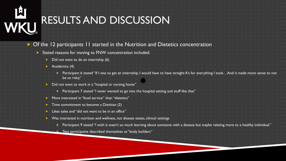| <b>ILI<br/>WKU</b> | RESULTS AND DISCUSSION                                                                                                                                                                            |
|--------------------|---------------------------------------------------------------------------------------------------------------------------------------------------------------------------------------------------|
|                    |                                                                                                                                                                                                   |
|                    | • Of the 12 participants 11 started in the Nutrition and Dietetics concentration                                                                                                                  |
|                    | Stated reasons for moving to FNW concentration included:                                                                                                                                          |
|                    | Did not want to do an internship (6)                                                                                                                                                              |
|                    | Academics (4)                                                                                                                                                                                     |
|                    | Participant 6 stated "If I was to get an internship, I would have to have straight A's for everything I tookAnd it made more sense to not<br>be so risky."                                        |
|                    |                                                                                                                                                                                                   |
|                    | Did not want to work in a "hospital or nursing home"                                                                                                                                              |
|                    |                                                                                                                                                                                                   |
|                    | Participant 7 stated "I never wanted to go into the hospital setting and stuff like that'                                                                                                         |
|                    | More interested in "food service" than "dietetics"                                                                                                                                                |
|                    | Time commitment to become a Dietitian (2)                                                                                                                                                         |
|                    | Likes sales and "did not want to be in an office"                                                                                                                                                 |
|                    | Was interested in nutrition and wellness, not disease states, clinical settings                                                                                                                   |
|                    | Participant 9 stated "I wish it wasn't so much learning about someone with a disease but maybe relating more to a healthy individual.<br>Two participants described themselves as "body builders" |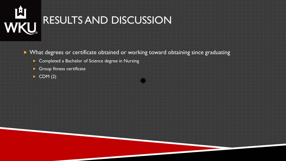| WKU | RESULTS AND DISCUSSION                                                            |  |
|-----|-----------------------------------------------------------------------------------|--|
|     | What degrees or certificate obtained or working toward obtaining since graduating |  |
|     | > Completed a Bachelor of Science degree in Nursing                               |  |
|     | Group fitness certificate                                                         |  |
|     |                                                                                   |  |
|     | CDM(2)                                                                            |  |
|     |                                                                                   |  |
|     |                                                                                   |  |
|     |                                                                                   |  |
|     |                                                                                   |  |
|     |                                                                                   |  |
|     |                                                                                   |  |
|     |                                                                                   |  |
|     |                                                                                   |  |
|     |                                                                                   |  |
|     |                                                                                   |  |
|     |                                                                                   |  |
|     |                                                                                   |  |
|     |                                                                                   |  |
|     |                                                                                   |  |
|     |                                                                                   |  |
|     |                                                                                   |  |
|     |                                                                                   |  |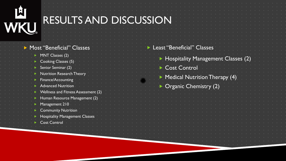| 山<br><b>RESULTS AND DISCUSSION</b><br>WKU                        |                                    |
|------------------------------------------------------------------|------------------------------------|
| Most "Beneficial" Classes<br>MNT Classes (2)                     | Least "Beneficial" Classes         |
| Cooking Classes (5)                                              | Hospitality Management Classes (2) |
| Senior Seminar (2)                                               | Cost Control                       |
| <b>Nutrition Research Theor</b><br>Finance/Accounting            | Medical Nutrition Therapy (4)      |
| <b>Advanced Nutrition</b><br>Wellness and Fitness Assessment (2) | <b>Organic Chemistry (2)</b>       |
| Human Resource Management (2)                                    |                                    |
| Management 210<br><b>Community Nutrition</b>                     |                                    |
| <b>Hospitality Management Classes</b>                            |                                    |
| <b>Cost Control</b>                                              |                                    |
|                                                                  |                                    |
|                                                                  |                                    |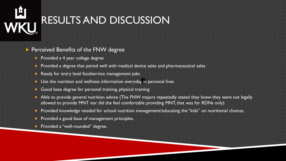| <b>IÈI<br/>NKU</b> | RESULTS AND DISCUSSION                                                                                                                                                                                   |
|--------------------|----------------------------------------------------------------------------------------------------------------------------------------------------------------------------------------------------------|
|                    | Perceived Benefits of the FNW degree                                                                                                                                                                     |
|                    | Provided a 4 year college degree                                                                                                                                                                         |
|                    | Provided a degree that paired well with medical device sales and pharmaceutical                                                                                                                          |
|                    | Ready for entry level foodservice management jobs                                                                                                                                                        |
|                    | Use the nutrition and wellness information everyday in personal lives                                                                                                                                    |
|                    | Good base degree for personal training, physical training                                                                                                                                                |
|                    | Able to provide general nutrition advice (The FNW majors repeatedly stated they knew they were not legally<br>allowed to provide MNT nor did the feel comfortable providing MNT, that was for RDNs only) |
|                    | Provided knowledge needed for school nutrition management/educating the "kids" on nutritional choices.                                                                                                   |
|                    | Provided a good base of management principles.                                                                                                                                                           |
|                    | Provided a "well-rounded" degree.                                                                                                                                                                        |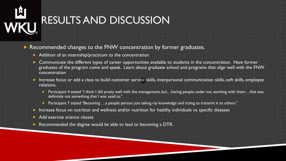# 凹 WKU

### RESULTS AND DISCUSSION

| Recommended changes to the FNW concentration by former graduates.                                                                                                                                                                                  |  |
|----------------------------------------------------------------------------------------------------------------------------------------------------------------------------------------------------------------------------------------------------|--|
| Addition of an internship/practicum to the concentration                                                                                                                                                                                           |  |
| Communicate the different types of career opportunities available to students in the concentration. Have former<br>graduates of the program come and speak. Learn about graduate school and programs that align well with the FNW<br>concentration |  |
| Increase focus or add a class to build customer service skills, interpersonal communication skills, soft skills, employee<br>relations.                                                                                                            |  |
| Participant 4 stated "I think I did pretty well with the management, buthaving people under me, working with themthat was<br>definitely not something that I was used to."                                                                         |  |
| Participant 7 stated "Becoming a people person: just taking my knowledge and trying to transmit it to others."                                                                                                                                     |  |
| Increase focus on nutrition and wellness and/or nutrition for healthy individuals vs. specific diseases<br>Add exercise science classes                                                                                                            |  |
| Recommended the degree would be able to lead to becoming a DTR.                                                                                                                                                                                    |  |
|                                                                                                                                                                                                                                                    |  |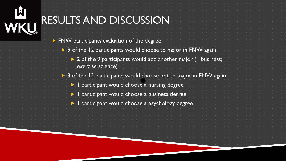| WKL | RESULTS AND DISCUSSION                                                            |
|-----|-----------------------------------------------------------------------------------|
|     | FNW participants evaluation of the degree                                         |
|     | 9 of the 12 participants would choose to major in FNW again                       |
|     | 2 of the 9 participants would add another major (1 business;<br>exercise science) |
|     | 3 of the 12 participants would choose not to major in FNW again                   |
|     | I participant would choose a nursing degree                                       |
|     | I participant would choose a business degree                                      |
|     | I participant would choose a psychology degree                                    |
|     |                                                                                   |
|     |                                                                                   |
|     |                                                                                   |
|     |                                                                                   |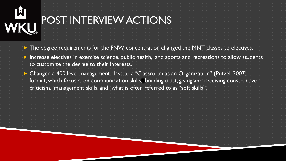# 凹 WKL

### POST INTERVIEW ACTIONS

 $\triangleright$  The degree requirements for the FNW concentration changed the MNT classes to electives.

 Increase electives in exercise science, public health, and sports and recreations to allow students to customize the degree to their interests.

 Changed a 400 level management class to a "Classroom as an Organization" (Putzel, 2007) format, which focuses on communication skills, building trust, giving and receiving constructive criticism, management skills, and what is often referred to as "soft skills".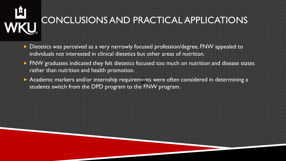# 囟 WKU

### CONCLUSIONS AND PRACTICAL APPLICATIONS

| Dietetics was perceived as a very narrowly focused profession/degree, FNW appealed to  | individuals not interested in clinical dietetics but other areas of nutrition. |  |  |  |  |  |  |  |  |  |  |  |  |  |  |  |  |  |  |  |  |  |  |  |                                                                                                |  |  |
|----------------------------------------------------------------------------------------|--------------------------------------------------------------------------------|--|--|--|--|--|--|--|--|--|--|--|--|--|--|--|--|--|--|--|--|--|--|--|------------------------------------------------------------------------------------------------|--|--|
|                                                                                        | rather than nutrition and health promotion.                                    |  |  |  |  |  |  |  |  |  |  |  |  |  |  |  |  |  |  |  |  |  |  |  | > FNW graduates indicated they felt dietetics focused too much on nutrition and disease states |  |  |
| Academic markers and/or internship requirements were often considered in determining a |                                                                                |  |  |  |  |  |  |  |  |  |  |  |  |  |  |  |  |  |  |  |  |  |  |  |                                                                                                |  |  |
|                                                                                        | students switch from the DPD program to the FNW program.                       |  |  |  |  |  |  |  |  |  |  |  |  |  |  |  |  |  |  |  |  |  |  |  |                                                                                                |  |  |
|                                                                                        |                                                                                |  |  |  |  |  |  |  |  |  |  |  |  |  |  |  |  |  |  |  |  |  |  |  |                                                                                                |  |  |
|                                                                                        |                                                                                |  |  |  |  |  |  |  |  |  |  |  |  |  |  |  |  |  |  |  |  |  |  |  |                                                                                                |  |  |
|                                                                                        |                                                                                |  |  |  |  |  |  |  |  |  |  |  |  |  |  |  |  |  |  |  |  |  |  |  |                                                                                                |  |  |
|                                                                                        |                                                                                |  |  |  |  |  |  |  |  |  |  |  |  |  |  |  |  |  |  |  |  |  |  |  |                                                                                                |  |  |
|                                                                                        |                                                                                |  |  |  |  |  |  |  |  |  |  |  |  |  |  |  |  |  |  |  |  |  |  |  |                                                                                                |  |  |
|                                                                                        |                                                                                |  |  |  |  |  |  |  |  |  |  |  |  |  |  |  |  |  |  |  |  |  |  |  |                                                                                                |  |  |
|                                                                                        |                                                                                |  |  |  |  |  |  |  |  |  |  |  |  |  |  |  |  |  |  |  |  |  |  |  |                                                                                                |  |  |
|                                                                                        |                                                                                |  |  |  |  |  |  |  |  |  |  |  |  |  |  |  |  |  |  |  |  |  |  |  |                                                                                                |  |  |
|                                                                                        |                                                                                |  |  |  |  |  |  |  |  |  |  |  |  |  |  |  |  |  |  |  |  |  |  |  |                                                                                                |  |  |
|                                                                                        |                                                                                |  |  |  |  |  |  |  |  |  |  |  |  |  |  |  |  |  |  |  |  |  |  |  |                                                                                                |  |  |
|                                                                                        |                                                                                |  |  |  |  |  |  |  |  |  |  |  |  |  |  |  |  |  |  |  |  |  |  |  |                                                                                                |  |  |
|                                                                                        |                                                                                |  |  |  |  |  |  |  |  |  |  |  |  |  |  |  |  |  |  |  |  |  |  |  |                                                                                                |  |  |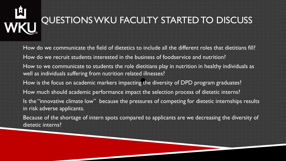# 凹 WKU

### QUESTIONS WKU FACULTY STARTED TO DISCUSS

| How do we communicate the field of dietetics to include all the different roles that dietitians fill?                                                                |
|----------------------------------------------------------------------------------------------------------------------------------------------------------------------|
| How do we recruit students interested in the business of foodservice and nutrition?                                                                                  |
| How to we communicate to students the role dietitians play in nutrition in healthy individuals as<br>well as individuals suffering from nutrition related illnesses? |
| How is the focus on academic markers impacting the diversity of DPD program graduates?                                                                               |
| How much should academic performance impact the selection process of dietetic interns?                                                                               |
| Is the "innovative climate low" because the pressures of competing for dietetic internships results<br>in risk adverse applicants.                                   |
| Because of the shortage of intern spots compared to applicants are we decreasing the diversity of<br>dietetic interns?                                               |